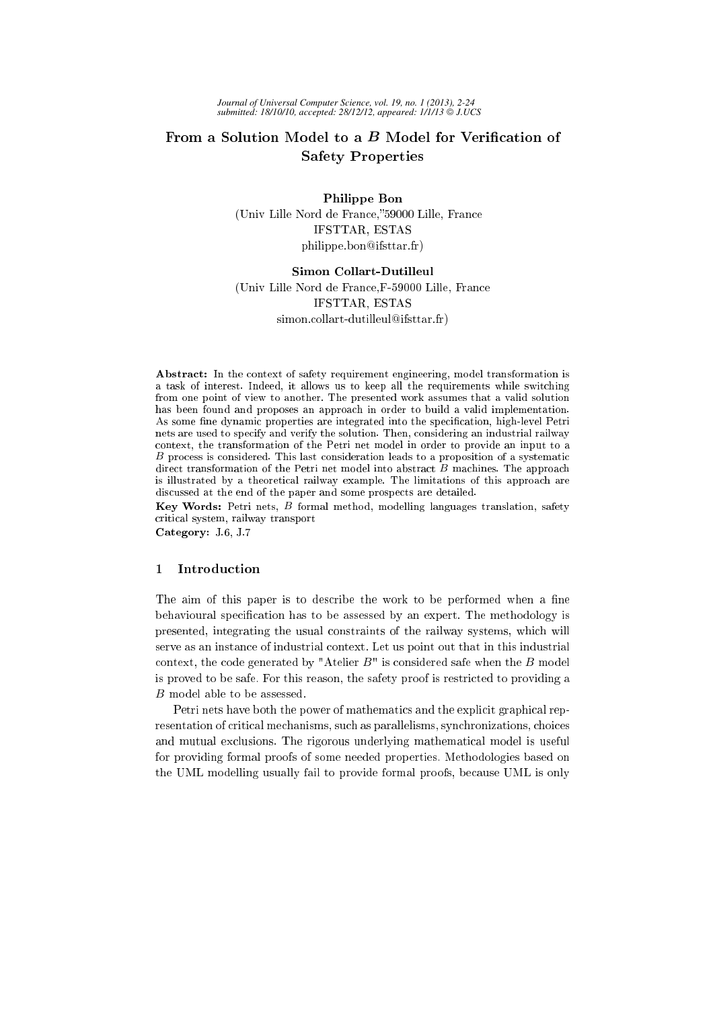# From a Solution Model to a  $B$  Model for Verification of Safety Properties

Philippe Bon (Univ Lille Nord de Fran
e, 59000 Lille, Fran
e IFSTTAR, ESTAS philippe.bon@ifsttar.fr)

# Simon Collart-Dutilleul

(Univ Lille Nord de Fran
e,F-59000 Lille, Fran
e IFSTTAR, ESTAS

simon.collart-dutilleul@ifsttar.fr)

Abstract: In the context of safety requirement engineering, model transformation is a task of interest. Indeed, it allows us to keep all the requirements while swit
hing from one point of view to another. The presented work assumes that a valid solution has been found and proposes an approach in order to build a valid implementation. As some fine dynamic properties are integrated into the specification, high-level Petri nets are used to spe
ify and verify the solution. Then, onsidering an industrial railway ontext, the transformation of the Petri net model in order to provide an input to a B process is considered. This last consideration leads to a proposition of a systematic direct transformation of the Petri net model into abstract  $\tilde{B}$  machines. The approach is illustrated by a theoretical railway example. The limitations of this approach are discussed at the end of the paper and some prospects are detailed.

Key Words: Petri nets, B formal method, modelling languages translation, safety riti
al system, railway transport

Category: J.6, J.7

# <sup>1</sup> Introdu
tion

The aim of this paper is to describe the work to be performed when a fine behavioural specification has to be assessed by an expert. The methodology is presented, integrating the usual onstraints of the railway systems, whi
h will serve as an instan
e of industrial ontext. Let us point out that in this industrial context, the code generated by "Atelier  $B$ " is considered safe when the  $B$  model is proved to be safe. For this reason, the safety proof is restri
ted to providing a B model able to be assessed.

Petri nets have both the power of mathematics and the explicit graphical representation of critical mechanisms, such as parallelisms, synchronizations, choices and mutual exclusions. The rigorous underlying mathematical model is useful for providing formal proofs of some needed properties. Methodologies based on the UML modelling usually fail to provide formal proofs, be
ause UML is only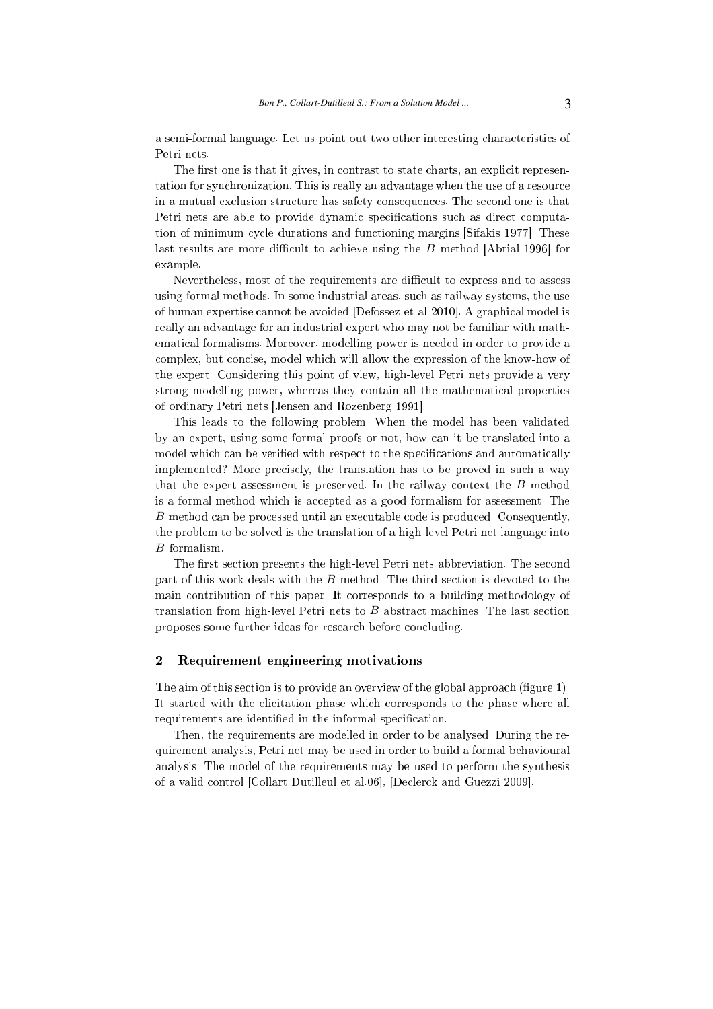a semi-formal language. Let us point out two other interesting characteristics of Petri nets.

The first one is that it gives, in contrast to state charts, an explicit representation for synchronization. This is really an advantage when the use of a resource in a mutual exclusion structure has safety consequences. The second one is that Petri nets are able to provide dynamic specifications such as direct computation of minimum cycle durations and functioning margins [Sifakis 1977]. These last results are more difficult to achieve using the  $B$  method [Abrial 1996] for example.

Nevertheless, most of the requirements are difficult to express and to assess using formal methods. In some industrial areas, su
h as railway systems, the use of human expertise cannot be avoided [Defossez et al 2010]. A graphical model is really an advantage for an industrial expert who may not be familiar with mathemati
al formalisms. Moreover, modelling power is needed in order to provide a complex, but concise, model which will allow the expression of the know-how of the expert. Considering this point of view, high-level Petri nets provide a very strong modelling power, whereas they ontain all the mathemati
al properties of ordinary Petri nets [Jensen and Rozenberg 1991].

This leads to the following problem. When the model has been validated by an expert, using some formal proofs or not, how an it be translated into a model which can be verified with respect to the specifications and automatically implemented? More precisely, the translation has to be proved in such a way that the expert assessment is preserved. In the railway ontext the B method is a formal method which is accepted as a good formalism for assessment. The B method can be processed until an executable code is produced. Consequently, the problem to be solved is the translation of a high-level Petri net language into B formalism.

The first section presents the high-level Petri nets abbreviation. The second part of this work deals with the  $B$  method. The third section is devoted to the main ontribution of this paper. It orresponds to a building methodology of translation from high-level Petri nets to  $B$  abstract machines. The last section proposes some further ideas for research before concluding.

#### $\mathbf{2}$ <sup>2</sup> Requirement engineering motivations

The aim of this section is to provide an overview of the global approach (figure 1). It started with the elicitation phase which corresponds to the phase where all requirements are identified in the informal specification.

Then, the requirements are modelled in order to be analysed. During the requirement analysis, Petri net may be used in order to build a formal behavioural analysis. The model of the requirements may be used to perform the synthesis of a valid control [Collart Dutilleul et al.06], [Declerck and Guezzi 2009].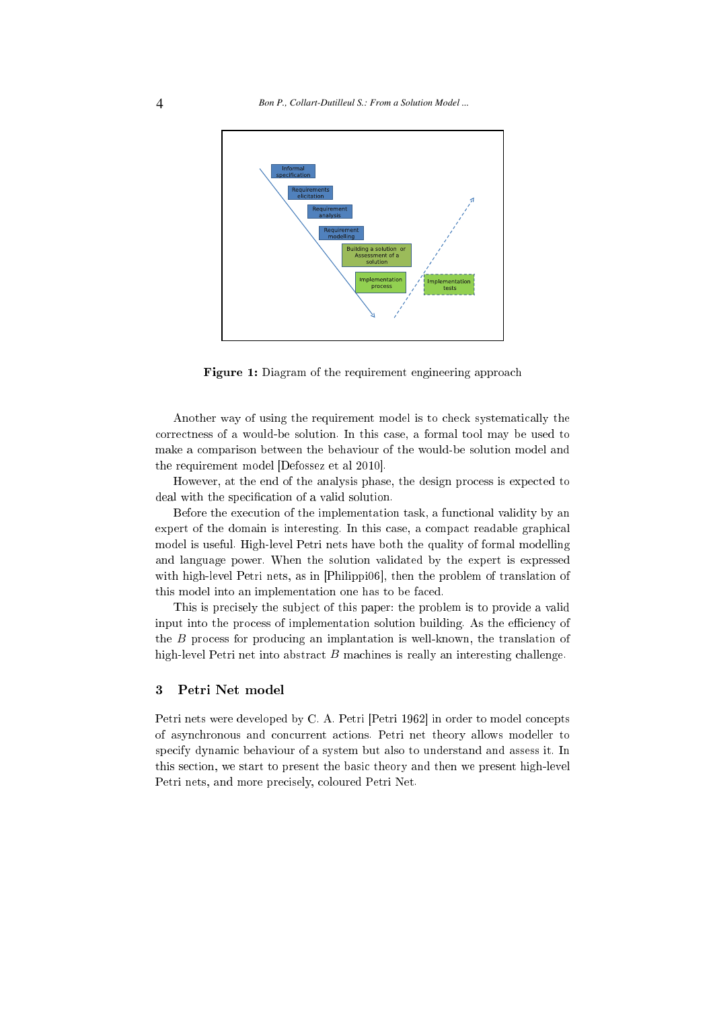

Figure 1: Diagram of the requirement engineering approach

Another way of using the requirement model is to he
k systemati
ally the orre
tness of a would-be solution. In this ase, a formal tool may be used to make a omparison between the behaviour of the would-be solution model and the requirement model  $[Defossez$  et al  $2010]$ .

However, at the end of the analysis phase, the design process is expected to deal with the specification of a valid solution.

Before the execution of the implementation task, a functional validity by an expert of the domain is interesting. In this case, a compact readable graphical model is useful. High-level Petri nets have both the quality of formal modelling and language power. When the solution validated by the expert is expressed with high-level Petri nets, as in [Philippi06], then the problem of translation of this model into an implementation one has to be fa
ed.

This is precisely the subject of this paper: the problem is to provide a valid input into the process of implementation solution building. As the efficiency of the B process for producing an implantation is well-known, the translation of high-level Petri net into abstract B machines is really an interesting challenge.

#### $\overline{3}$ Petri Net model

Petri nets were developed by C. A. Petri [Petri 1962] in order to model concepts of asyn
hronous and on
urrent a
tions. Petri net theory allows modeller to specify dynamic behaviour of a system but also to understand and assess it. In this se
tion, we start to present the basi theory and then we present high-level Petri nets, and more precisely, coloured Petri Net.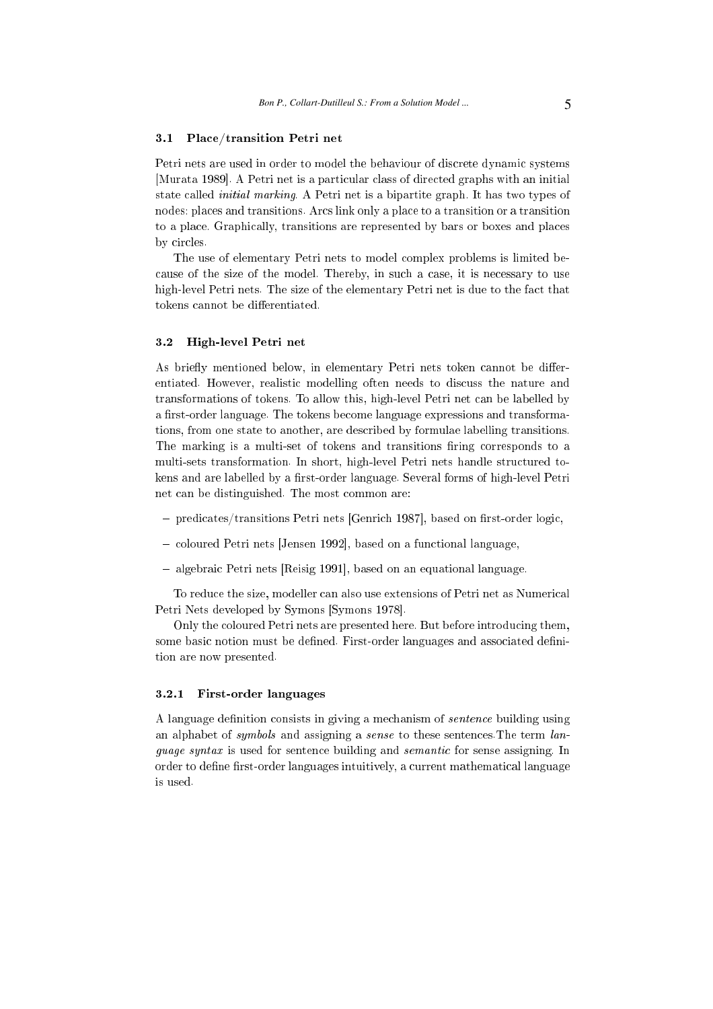# 3.1 Pla
e/transition Petri net

Petri nets are used in order to model the behaviour of discrete dynamic systems [Murata 1989]. A Petri net is a particular class of directed graphs with an initial state alled initial marking. A Petri net is a bipartite graph. It has two types of nodes: places and transitions. Arcs link only a place to a transition or a transition to a place. Graphically, transitions are represented by bars or boxes and places by circles.

The use of elementary Petri nets to model complex problems is limited because of the size of the model. Thereby, in such a case, it is necessary to use high-level Petri nets. The size of the elementary Petri net is due to the fact that tokens cannot be differentiated.

### 3.2 High-level Petri net

As briefly mentioned below, in elementary Petri nets token cannot be differentiated. However, realisti modelling often needs to dis
uss the nature and transformations of tokens. To allow this, high-level Petri net can be labelled by a first-order language. The tokens become language expressions and transformations, from one state to another, are des
ribed by formulae labelling transitions. The marking is a multi-set of tokens and transitions firing corresponds to a multi-sets transformation. In short, high-level Petri nets handle structured tokens and are labelled by a first-order language. Several forms of high-level Petri net an be distinguished. The most ommon are:

- predicates/transitions Petri nets [Genrich 1987], based on first-order logic,
- coloured Petri nets [Jensen 1992], based on a functional language,
- algebraic Petri nets [Reisig 1991], based on an equational language.

To reduce the size, modeller can also use extensions of Petri net as Numerical Petri Nets developed by Symons [Symons 1978].

Only the coloured Petri nets are presented here. But before introducing them, some basic notion must be defined. First-order languages and associated definition are now presented.

# 3.2.1 First-order languages

A language definition consists in giving a mechanism of *sentence* building using an alphabet of *symbols* and assigning a *sense* to these sentences. The term *lan*quage syntax is used for sentence building and *semantic* for sense assigning. In order to define first-order languages intuitively, a current mathematical language is used.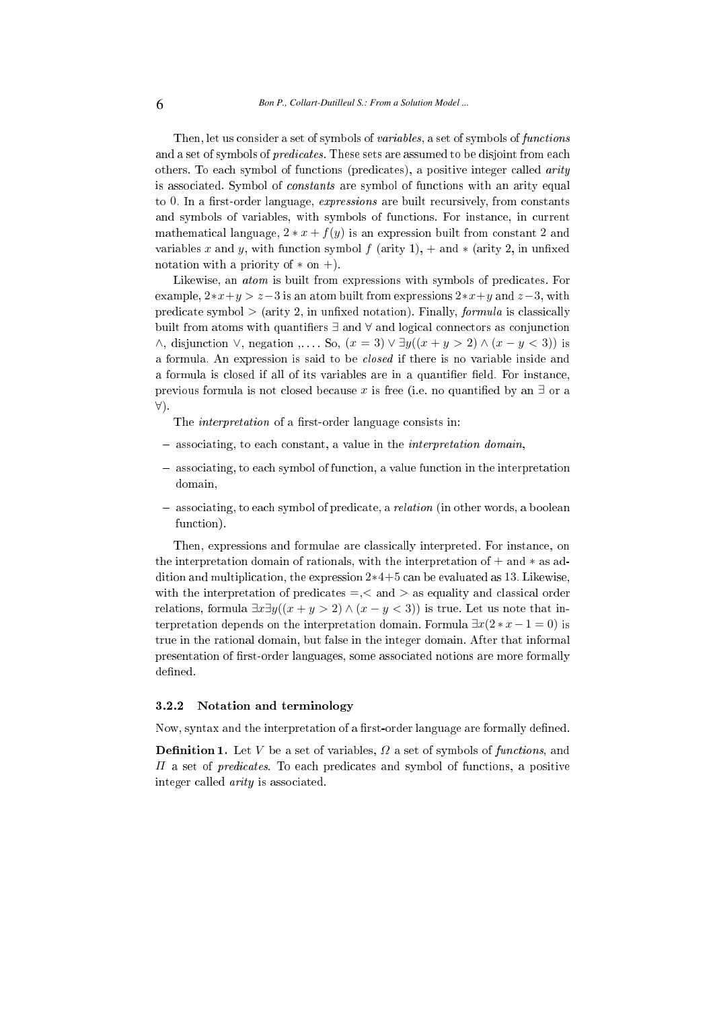Then, let us consider a set of symbols of *variables*, a set of symbols of *functions* and a set of symbols of *predicates*. These sets are assumed to be disjoint from each others. To each symbol of functions (predicates), a positive integer called *arity* is associated. Symbol of *constants* are symbol of functions with an arity equal to 0. In a first-order language, *expressions* are built recursively, from constants and symbols of variables, with symbols of functions. For instance, in current mathematical language,  $2 * x + f(y)$  is an expression built from constant 2 and variables x and y, with function symbol  $f$  (arity 1),  $+$  and  $*$  (arity 2, in unfixed notation with a priority of  $*$  on  $+$ ).

Likewise, an *atom* is built from expressions with symbols of predicates. For example,  $2*x+y > z-3$  is an atom built from expressions  $2*x+y$  and  $z-3$ , with predicate symbol  $>$  (arity 2, in unfixed notation). Finally, *formula* is classically built from atoms with quantifiers  $\exists$  and  $\forall$  and logical connectors as conjunction  $\wedge$ , disjunction  $\vee$ , negation ,... So,  $(x = 3) \vee \exists y ((x + y > 2) \wedge (x - y < 3))$  is a formula. An expression is said to be *closed* if there is no variable inside and a formula is closed if all of its variables are in a quantifier field. For instance, previous formula is not closed because x is free (i.e. no quantified by an  $\exists$  or a ∀).

The *interpretation* of a first-order language consists in:

- associating, to each constant, a value in the *interpretation domain*,
- asso
iating, to ea
h symbol of fun
tion, a value fun
tion in the interpretation domain,
- associating, to each symbol of predicate, a *relation* (in other words, a boolean fun
tion).

Then, expressions and formulae are lassi
ally interpreted. For instan
e, on the interpretation domain of rationals, with the interpretation of  $+$  and  $*$  as addition and multiplication, the expression  $2*4+5$  can be evaluated as 13. Likewise, with the interpretation of predicates  $=\, <$  and  $>$  as equality and classical order relations, formula  $\exists x \exists y ((x + y > 2) \land (x - y < 3))$  is true. Let us note that interpretation depends on the interpretation domain. Formula  $\exists x(2*x-1=0)$  is true in the rational domain, but false in the integer domain. After that informal presentation of first-order languages, some associated notions are more formally defined.

### 3.2.2 Notation and terminology

Now, syntax and the interpretation of a first-order language are formally defined.

**Definition 1.** Let V be a set of variables,  $\Omega$  a set of symbols of functions, and  $\Pi$  a set of *predicates*. To each predicates and symbol of functions, a positive integer alled arity is asso
iated.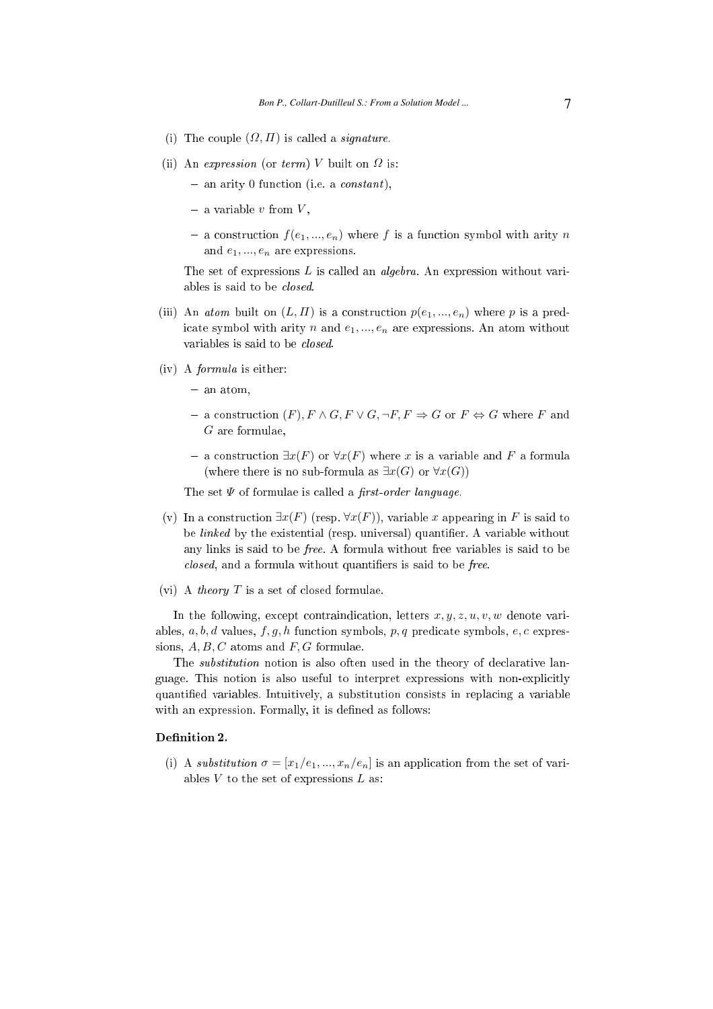- (i) The couple  $(\Omega, \Pi)$  is called a *signature*.
- (ii) An expression (or term) V built on  $\Omega$  is:
	- $-$  an arity 0 function (i.e. a *constant*),
	- $-$  a variable v from  $V$ ,
	- a construction  $f(e_1, ..., e_n)$  where f is a function symbol with arity n and  $e_1, ..., e_n$  are expressions.

The set of expressions  $L$  is called an *algebra*. An expression without variables is said to be losed.

- (iii) An *atom* built on  $(L, \Pi)$  is a construction  $p(e_1, ..., e_n)$  where p is a predicate symbol with arity n and  $e_1, ..., e_n$  are expressions. An atom without variables is said to be *closed*.
- (iv) A formula is either:
	- $-$  an atom,
	- a construction  $(F)$ ,  $F \wedge G$ ,  $F \vee G$ ,  $\neg F$ ,  $F$  ⇒  $G$  or  $F$  ⇔  $G$  where  $F$  and G are formulae,
	- a construction  $\exists x(F)$  or ∀ $x(F)$  where x is a variable and F a formula (where there is no sub-formula as  $\exists x(G)$  or  $\forall x(G)$ )

The set  $\Psi$  of formulae is called a *first-order language*.

- (v) In a construction  $\exists x(F)$  (resp.  $\forall x(F)$ ), variable x appearing in F is said to be  $linked$  by the existential (resp. universal) quantifier. A variable without any links is said to be free. A formula without free variables is said to be *closed*, and a formula without quantifiers is said to be *free*.
- (vi) A *theory*  $T$  is a set of closed formulae.

In the following, except contraindication, letters  $x, y, z, u, v, w$  denote variables,  $a, b, d$  values,  $f, g, h$  function symbols,  $p, q$  predicate symbols,  $e, c$  expressions,  $A, B, C$  atoms and  $F, G$  formulae.

The *substitution* notion is also often used in the theory of declarative language. This notion is also useful to interpret expressions with non-explicitly quantified variables. Intuitively, a substitution consists in replacing a variable with an expression. Formally, it is defined as follows:

### Definition 2.

(i) A substitution  $\sigma = [x_1/e_1, ..., x_n/e_n]$  is an application from the set of variables  $V$  to the set of expressions  $L$  as: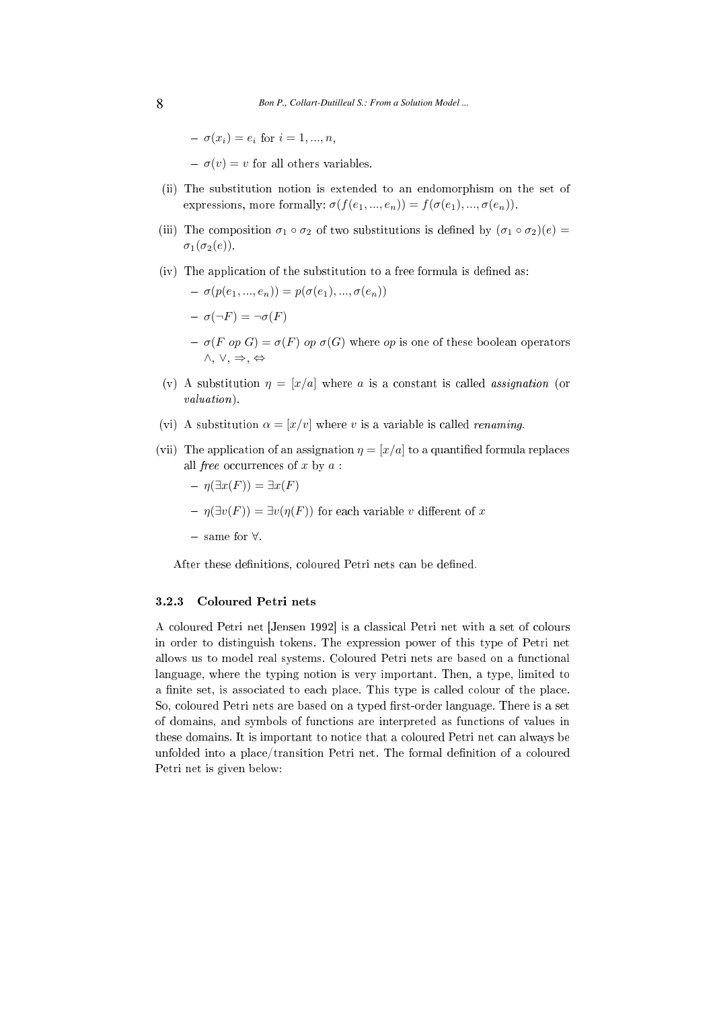$$
- \sigma(x_i) = e_i \text{ for } i = 1, ..., n,
$$

 $-\sigma(v) = v$  for all others variables.

- (ii) The substitution notion is extended to an endomorphism on the set of expressions, more formally:  $\sigma(f(e_1, ..., e_n)) = f(\sigma(e_1), ..., \sigma(e_n)).$
- (iii) The composition  $\sigma_1 \circ \sigma_2$  of two substitutions is defined by  $(\sigma_1 \circ \sigma_2)(e)$  =  $\sigma_1(\sigma_2(e))$ .
- $(iv)$  The application of the substitution to a free formula is defined as:

$$
- \sigma(p(e_1, ..., e_n)) = p(\sigma(e_1), ..., \sigma(e_n))
$$

$$
- \sigma(\neg F) = \neg \sigma(F)
$$

- $\sigma(F \text{ op } G) = \sigma(F) \text{ op } \sigma(G)$  where *op* is one of these boolean operators ∧, ∨, ⇒, ⇔
- (v) A substitution  $\eta = [x/a]$  where a is a constant is called assignation (or valuation).
- (vi) A substitution  $\alpha = [x/v]$  where v is a variable is called *renaming*.
- (vii) The application of an assignation  $\eta = [x/a]$  to a quantified formula replaces all *free* occurrences of  $x$  by  $a$ :

$$
- \eta(\exists x(F)) = \exists x(F)
$$

- $-\eta(\exists v(F)) = \exists v(\eta(F))$  for each variable v different of x
- same for ∀.

After these definitions, coloured Petri nets can be defined.

#### 3.2.3 Coloured Petri nets

A coloured Petri net [Jensen 1992] is a classical Petri net with a set of colours in order to distinguish tokens. The expression power of this type of Petri net allows us to model real systems. Coloured Petri nets are based on a fun
tional language, where the typing notion is very important. Then, a type, limited to a finite set, is associated to each place. This type is called colour of the place. So, coloured Petri nets are based on a typed first-order language. There is a set of domains, and symbols of fun
tions are interpreted as fun
tions of values in these domains. It is important to notice that a coloured Petri net can always be unfolded into a place/transition Petri net. The formal definition of a coloured Petri net is given below: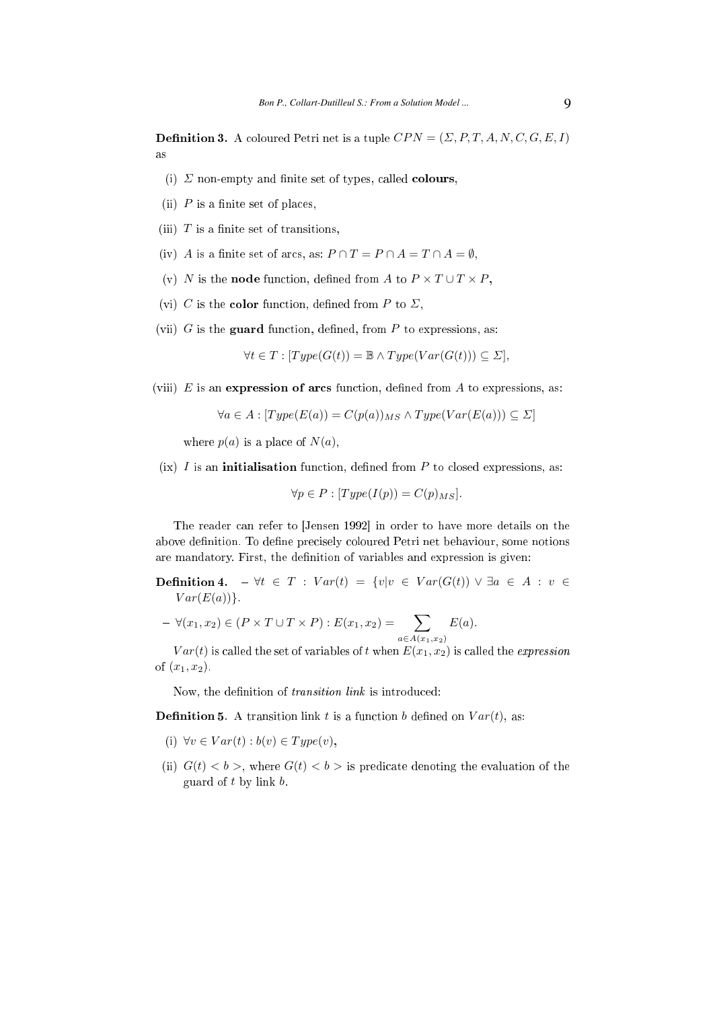**Definition 3.** A coloured Petri net is a tuple  $CPN = (\Sigma, P, T, A, N, C, G, E, I)$ as

- (i)  $\Sigma$  non-empty and finite set of types, called **colours**,
- (ii)  $P$  is a finite set of places,
- (iii)  $T$  is a finite set of transitions,
- (iv) A is a finite set of arcs, as:  $P \cap T = P \cap A = T \cap A = \emptyset$ ,
- (v) N is the **node** function, defined from A to  $P \times T \cup T \times P$ ,
- (vi) C is the **color** function, defined from P to  $\Sigma$ ,
- (vii)  $G$  is the guard function, defined, from  $P$  to expressions, as:

$$
\forall t \in T : [Type(G(t)) = \mathbb{B} \land Type(Var(G(t))) \subseteq \Sigma],
$$

(viii)  $E$  is an expression of arcs function, defined from  $A$  to expressions, as:

$$
\forall a \in A : [Type(E(a)) = C(p(a))_{MS} \land Type(Var(E(a))) \subseteq \Sigma]
$$

where  $p(a)$  is a place of  $N(a)$ ,

 $(ix)$  I is an **initialisation** function, defined from P to closed expressions, as:

 $\forall p \in P : [Type(I(p))] = C(p)_{MS}].$ 

The reader can refer to [Jensen 1992] in order to have more details on the above definition. To define precisely coloured Petri net behaviour, some notions are mandatory. First, the definition of variables and expression is given:

Definition 4.  $\forall t \in T : Var(t) = \{v|v \in Var(G(t)) \lor \exists a \in A : v \in$  $Var(E(a))$ .

 $-\forall (x_1, x_2) \in (P \times T \cup T \times P) : E(x_1, x_2) = \sum$  $a \in A(x_1,x_2)$  $E(a).$ 

 $Var(t)$  is called the set of variables of t when  $E(x_1, x_2)$  is called the expression of  $(x_1, x_2)$ .

Now, the definition of *transition link* is introduced:

**Definition 5.** A transition link t is a function b defined on  $Var(t)$ , as:

- (i)  $\forall v \in Var(t) : b(v) \in Type(v),$
- (ii)  $G(t) < b$ , where  $G(t) < b$  is predicate denoting the evaluation of the guard of  $t$  by link  $b$ .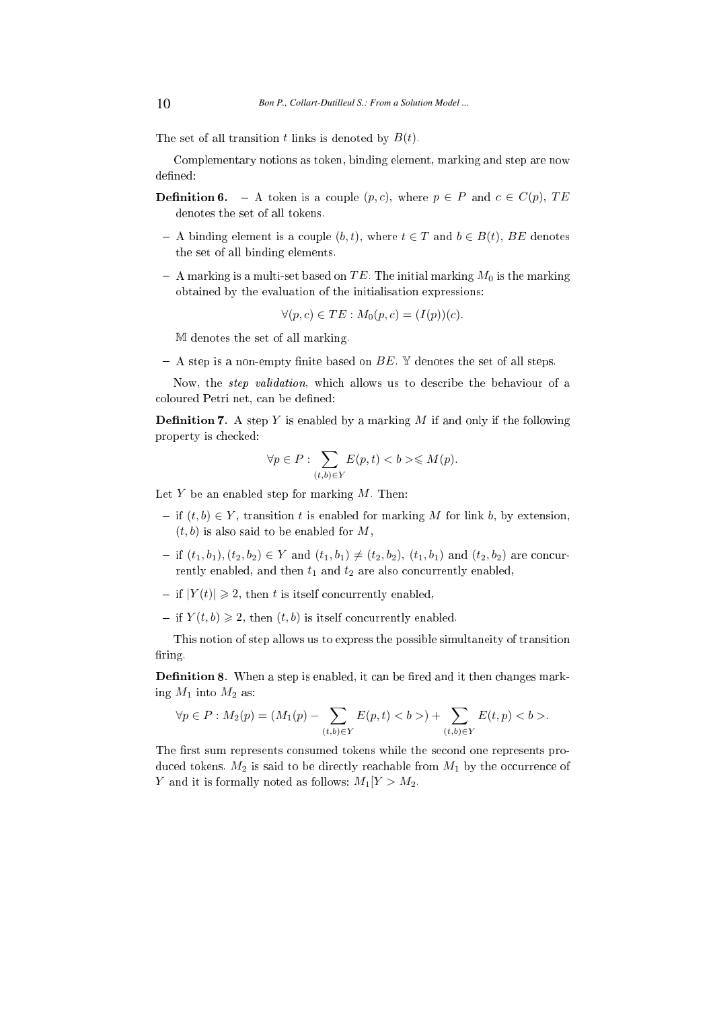The set of all transition t links is denoted by  $B(t)$ .

Complementary notions as token, binding element, marking and step are now defined:

- **Definition 6.** A token is a couple  $(p, c)$ , where  $p \in P$  and  $c \in C(p)$ , TE denotes the set of all tokens.
- $-A$  binding element is a couple  $(b, t)$ , where  $t \in T$  and  $b \in B(t)$ , BE denotes the set of all binding elements.
- A marking is a multi-set based on TE. The initial marking  $M_0$  is the marking obtained by the evaluation of the initialisation expressions:

$$
\forall (p, c) \in TE : M_0(p, c) = (I(p))(c).
$$

M denotes the set of all marking.

- A step is a non-empty finite based on  $BE$ . Y denotes the set of all steps.

Now, the step validation, whi
h allows us to des
ribe the behaviour of a coloured Petri net, can be defined:

**Definition 7.** A step Y is enabled by a marking M if and only if the following property is he
ked:

$$
\forall p \in P: \sum_{(t,b) \in Y} E(p,t) < b > \leq M(p).
$$

Let  $Y$  be an enabled step for marking  $M$ . Then:

- $\text{if } (t, b) \in Y$ , transition t is enabled for marking M for link b, by extension,  $(t, b)$  is also said to be enabled for M,
- if  $(t_1, b_1), (t_2, b_2) \in Y$  and  $(t_1, b_1) \neq (t_2, b_2), (t_1, b_1)$  and  $(t_2, b_2)$  are concurrently enabled, and then  $t_1$  and  $t_2$  are also concurrently enabled,
- $\vert \text{ if } |Y(t)| \geq 2$ , then t is itself concurrently enabled,
- if  $Y(t, b) \geq 2$ , then  $(t, b)$  is itself concurrently enabled.

This notion of step allows us to express the possible simultaneity of transition firing

**Definition 8.** When a step is enabled, it can be fired and it then changes marking  $M_1$  into  $M_2$  as:

$$
\forall p \in P : M_2(p) = (M_1(p) - \sum_{(t,b) \in Y} E(p,t) < b >) + \sum_{(t,b) \in Y} E(t,p) < b >.
$$

The first sum represents consumed tokens while the second one represents produced tokens.  $M_2$  is said to be directly reachable from  $M_1$  by the occurrence of Y and it is formally noted as follows:  $M_1[Y > M_2]$ .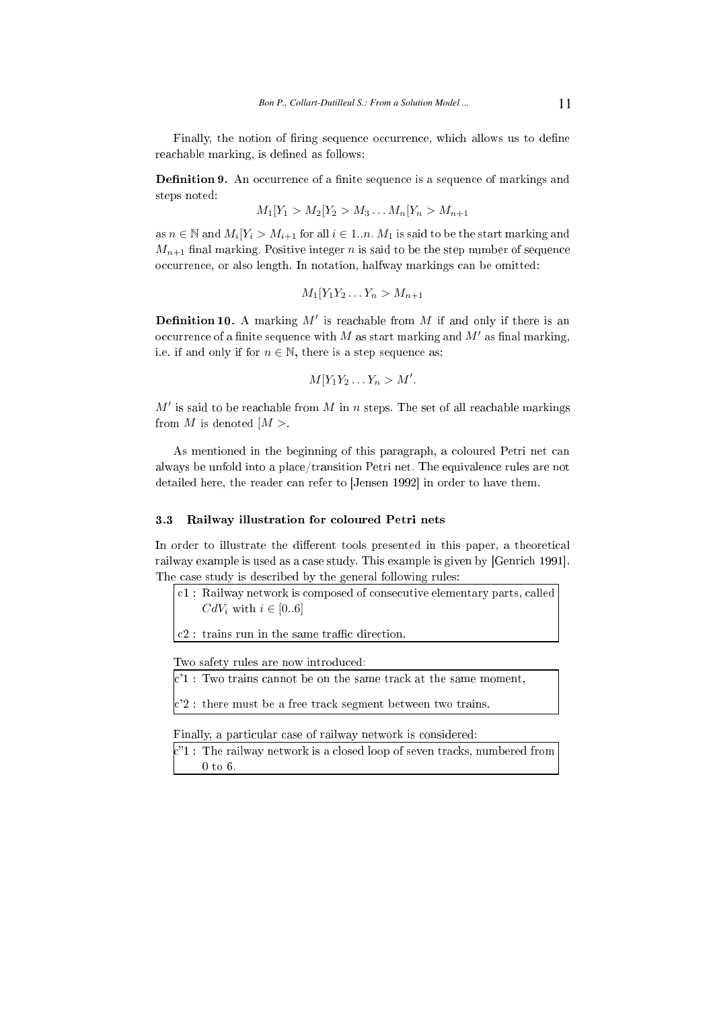Finally, the notion of firing sequence occurrence, which allows us to define reachable marking, is defined as follows:

Definition 9. An occurrence of a finite sequence is a sequence of markings and steps noted:

$$
M_1[Y_1 > M_2[Y_2 > M_3...M_n[Y_n > M_{n+1}]
$$

as  $n \in \mathbb{N}$  and  $M_i[Y_i > M_{i+1}$  for all  $i \in 1..n$ .  $M_1$  is said to be the start marking and  $M_{n+1}$  final marking. Positive integer n is said to be the step number of sequence occurrence, or also length. In notation, halfway markings can be omitted:

$$
M_1[Y_1Y_2\ldots Y_n > M_{n+1}]
$$

**Definition 10.** A marking  $M'$  is reachable from  $M$  if and only if there is an occurrence of a finite sequence with M as start marking and  $M'$  as final marking, i.e. if and only if for  $n \in \mathbb{N}$ , there is a step sequence as:

$$
M[Y_1Y_2\ldots Y_n > M'.
$$

 $M'$  is said to be reachable from  $M$  in n steps. The set of all reachable markings from M is denoted  $|M>$ .

As mentioned in the beginning of this paragraph, a coloured Petri net can always be unfold into a pla
e/transition Petri net. The equivalen
e rules are not detailed here, the reader can refer to [Jensen 1992] in order to have them.

#### 3.3 Railway illustration for oloured Petri nets

In order to illustrate the different tools presented in this paper, a theoretical railway example is used as a case study. This example is given by [Genrich 1991]. The case study is described by the general following rules:

- 1 : Railway network is omposed of onse
utive elementary parts, alled  $CdV_i$  with  $i \in [0..6]$
- $|c2|$ : trains run in the same traffic direction.

Two safety rules are now introdu
ed:

 $\sqrt{c'1}$ : Two trains cannot be on the same track at the same moment,

 $|c'2|$ : there must be a free track segment between two trains.

Finally, a particular case of railway network is considered:

 $\rm k\llap{''1}$  : The railway network is a closed loop of seven tracks, numbered from 0 to 6.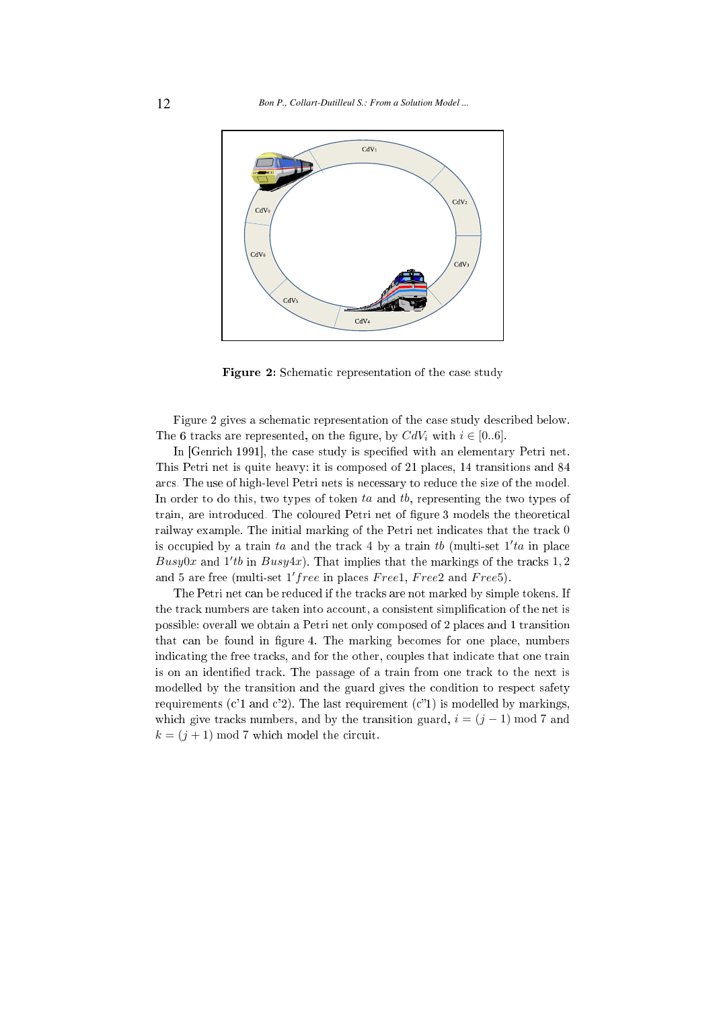

Figure 2: Schematic representation of the case study

Figure 2 gives a schematic representation of the case study described below. The 6 tracks are represented, on the figure, by  $CdV_i$  with  $i \in [0..6]$ .

In [Genrich 1991], the case study is specified with an elementary Petri net. This Petri net is quite heavy: it is omposed of <sup>21</sup> pla
es, <sup>14</sup> transitions and <sup>84</sup> ar
s. The use of high-level Petri nets is ne
essary to redu
e the size of the model. In order to do this, two types of token ta and tb, representing the two types of train, are introduced. The coloured Petri net of figure 3 models the theoretical railway example. The initial marking of the Petri net indicates that the track 0 is occupied by a train ta and the track 4 by a train tb (multi-set  $1'ta$  in place Busy0x and  $1'tb$  in Busy4x). That implies that the markings of the tracks 1, 2 and 5 are free (multi-set  $1'/free$  in places  $Free1, Free2$  and  $Free5)$ .

The Petri net can be reduced if the tracks are not marked by simple tokens. If the track numbers are taken into account, a consistent simplification of the net is possible: overall we obtain <sup>a</sup> Petri net only omposed of <sup>2</sup> pla
es and <sup>1</sup> transition that can be found in figure 4. The marking becomes for one place, numbers indicating the free tracks, and for the other, couples that indicate that one train is on an identified track. The passage of a train from one track to the next is modelled by the transition and the guard gives the ondition to respe
t safety requirements ( $c'1$  and  $c'2$ ). The last requirement ( $c''1$ ) is modelled by markings, which give tracks numbers, and by the transition guard,  $i = (j - 1) \text{ mod } 7$  and  $k = (j + 1) \mod 7$  which model the circuit.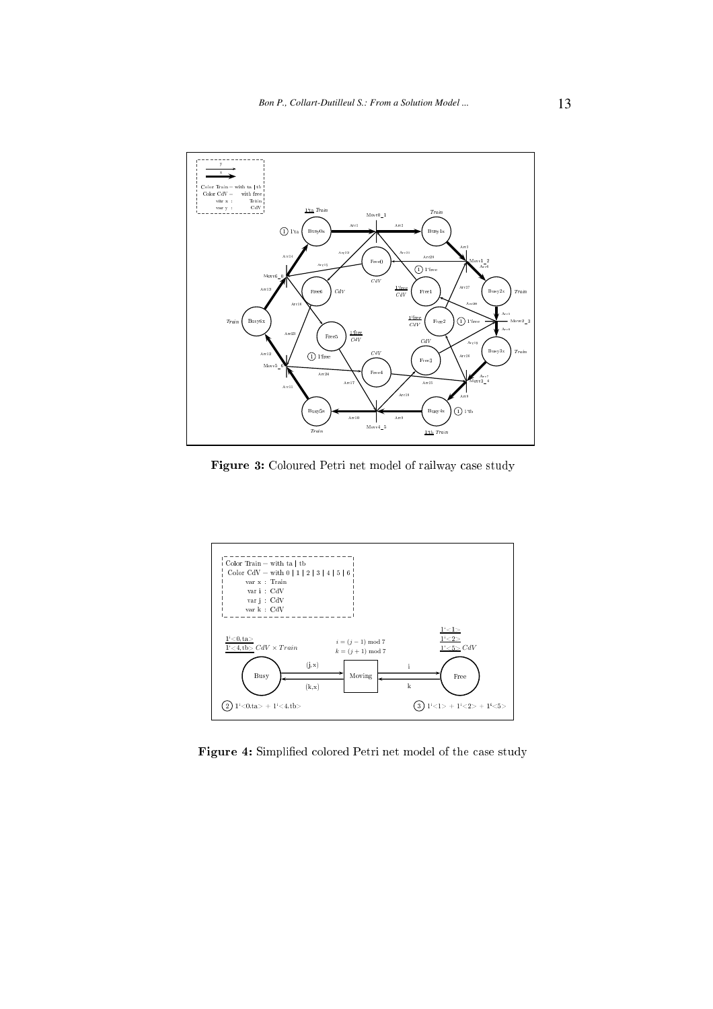

Figure 3: Coloured Petri net model of railway case study



Figure 4: Simplified colored Petri net model of the case study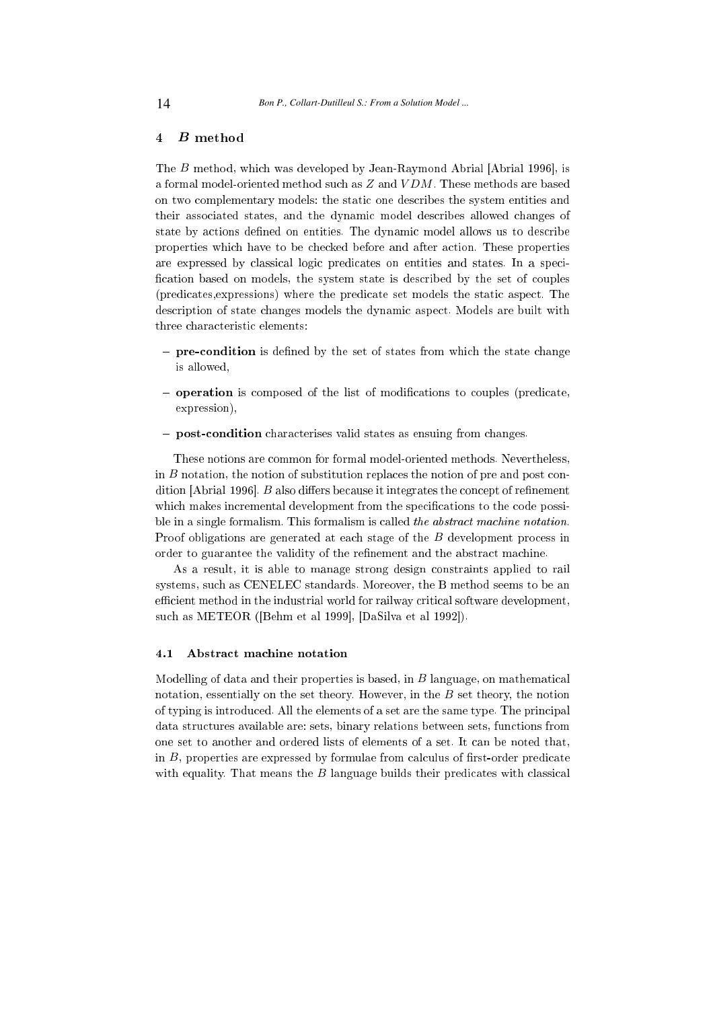# <sup>4</sup> B method

The  $B$  method, which was developed by Jean-Raymond Abrial [Abrial 1996], is a formal model-oriented method su
h as Z and V DM . These methods are based on two omplementary models: the stati one des
ribes the system entities and their asso
iated states, and the dynami model des
ribes allowed hanges of state by actions defined on entities. The dynamic model allows us to describe properties whi
h have to be he
ked before and after a
tion. These properties are expressed by classical logic predicates on entities and states. In a specification based on models, the system state is described by the set of couples (predicates, expressions) where the predicate set models the static aspect. The des
ription of state hanges models the dynami aspe
t. Models are built with three characteristic elements:

- **pre-condition** is defined by the set of states from which the state change is allowed,
- **operation** is composed of the list of modifications to couples (predicate, expression),
- **post-condition** characterises valid states as ensuing from changes.

These notions are ommon for formal model-oriented methods. Nevertheless, in  $B$  notation, the notion of substitution replaces the notion of pre and post condition [Abrial 1996].  $B$  also differs because it integrates the concept of refinement which makes incremental development from the specifications to the code possible in a single formalism. This formalism is called the abstract machine notation. Proof obligations are generated at each stage of the B development process in order to guarantee the validity of the refinement and the abstract machine.

As a result, it is able to manage strong design onstraints applied to rail systems, su
h as CENELEC standards. Moreover, the B method seems to be an efficient method in the industrial world for railway critical software development, such as METEOR ([Behm et al 1999], [DaSilva et al 1992]).

# 4.1 Abstra
t ma
hine notation

Modelling of data and their properties is based, in  $B$  language, on mathematical notation, essentially on the set theory. However, in the  $B$  set theory, the notion of typing is introduced. All the elements of a set are the same type. The principal data stru
tures available are: sets, binary relations between sets, fun
tions from one set to another and ordered lists of elements of a set. It an be noted that, in  $B$ , properties are expressed by formulae from calculus of first-order predicate with equality. That means the  $B$  language builds their predicates with classical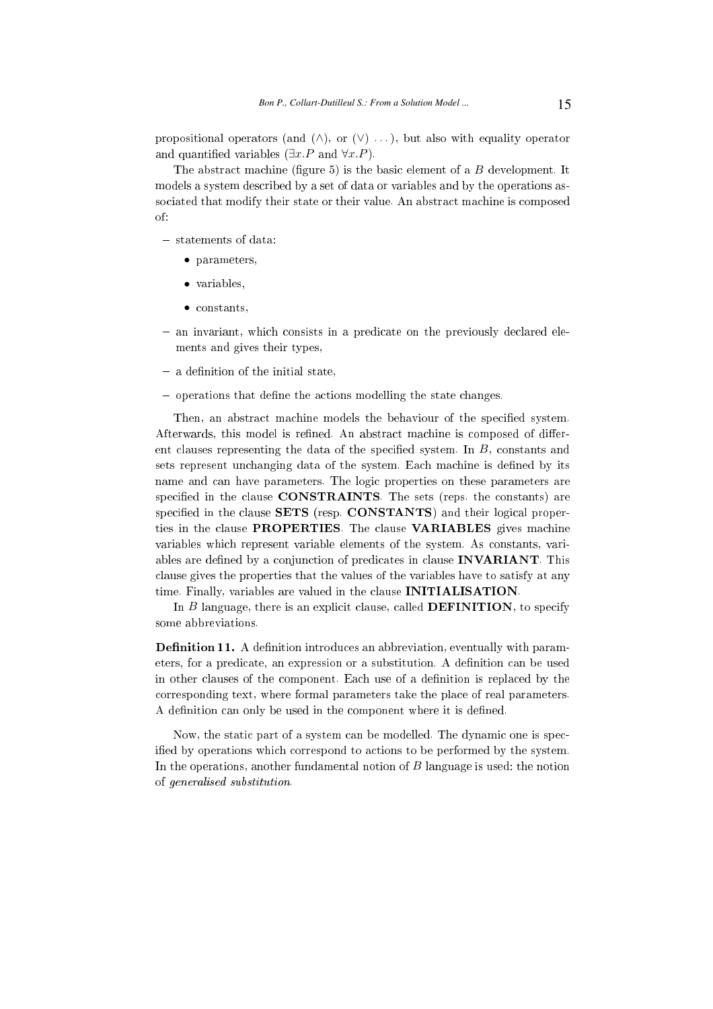propositional operators (and  $(\wedge)$ , or  $(\vee)$  ...), but also with equality operator and quantified variables  $(\exists x.P \text{ and } \forall x.P)$ .

The abstract machine (figure  $5$ ) is the basic element of a  $B$  development. It models a system des
ribed by a set of data or variables and by the operations associated that modify their state or their value. An abstract machine is composed of:

 $-$  statements of data.

- parameters,
- variables,
- constants,
- $-$  an invariant, which consists in a predicate on the previously declared elements and gives their types,
- $-$  a denimion of the initial state,  $\,$
- $-$  operations that define the actions moderning the state changes.

Then, an abstract machine models the behaviour of the specified system. Afterwards, this model is refined. An abstract machine is composed of different clauses representing the data of the specified system. In B, constants and sets represent unchanging data of the system. Each machine is defined by its name and can have parameters. The logic properties on these parameters are specified in the clause CONSTRAINTS. The sets (reps. the constants) are specified in the clause SETS (resp. CONSTANTS) and their logical properties in the clause PROPERTIES. The clause VARIABLES gives machine variables whi
h represent variable elements of the system. As onstants, variables are defined by a conjunction of predicates in clause **INVARIANT**. This clause gives the properties that the values of the variables have to satisfy at any time. Finally, variables are valued in the clause **INITIALISATION**.

In  $B$  language, there is an explicit clause, called **DEFINITION**, to specify some abbreviations.

Definition 11. A definition introduces an abbreviation, eventually with parameters, for a predicate, an expression or a substitution. A definition can be used in other clauses of the component. Each use of a definition is replaced by the orresponding text, where formal parameters take the pla
e of real parameters. A definition can only be used in the component where it is defined.

Now, the static part of a system can be modelled. The dynamic one is specified by operations which correspond to actions to be performed by the system. In the operations, another fundamental notion of  $B$  language is used: the notion of generalised substitution.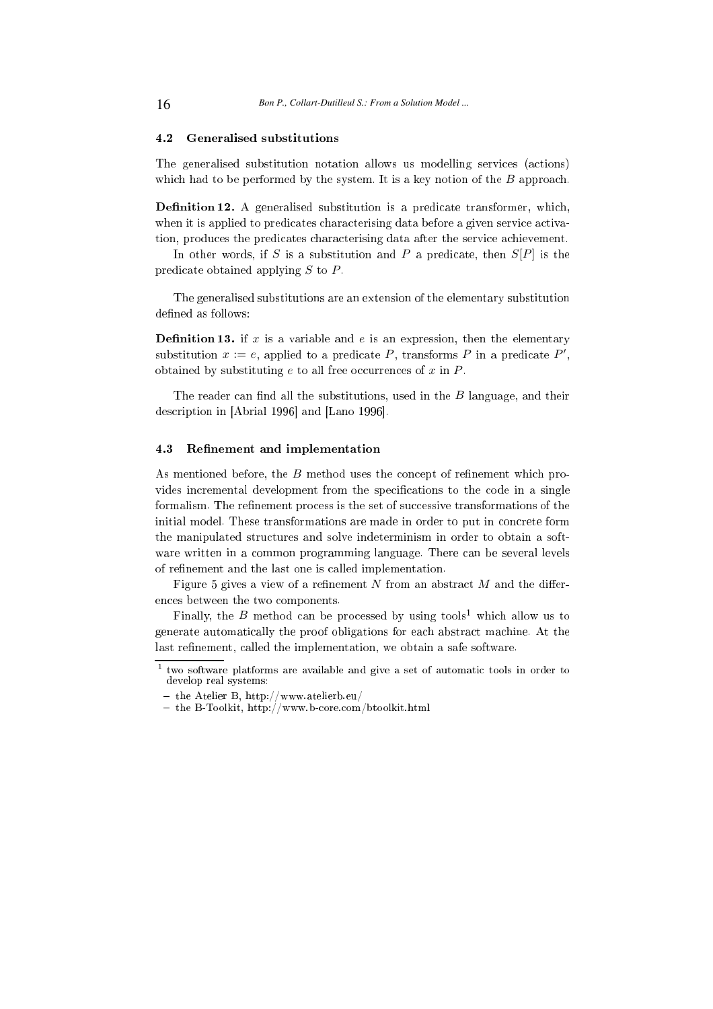# 4.2 Generalised substitutions

The generalised substitution notation allows us modelling services (actions) which had to be performed by the system. It is a key notion of the  $B$  approach.

**Definition 12.** A generalised substitution is a predicate transformer, which, when it is applied to predicates characterising data before a given service activation, produces the predicates characterising data after the service achievement.

In other words, if S is a substitution and P a predicate, then  $S[P]$  is the predicate obtained applying  $S$  to  $P$ .

The generalised substitutions are an extension of the elementary substitution defined as follows:

**Definition 13.** if x is a variable and e is an expression, then the elementary substitution  $x := e$ , applied to a predicate P, transforms P in a predicate P', obtained by substituting  $e$  to all free occurrences of  $x$  in  $P$ .

The reader can find all the substitutions, used in the  $B$  language, and their description in [Abrial 1996] and [Lano 1996].

# 4.3 Refinement and implementation

As mentioned before, the  $B$  method uses the concept of refinement which provides incremental development from the specifications to the code in a single formalism. The refinement process is the set of successive transformations of the initial model. These transformations are made in order to put in concrete form the manipulated structures and solve indeterminism in order to obtain a software written in a common programming language. There can be several levels of refinement and the last one is called implementation.

Figure 5 gives a view of a refinement N from an abstract  $M$  and the differen
es between the two omponents.

Finally, the  $B$  method can be processed by using tools<sup>1</sup> which allow us to generate automati
ally the proof obligations for ea
h abstra
t ma
hine. At the last refinement, called the implementation, we obtain a safe software.

 $1$  two software platforms are available and give a set of automatic tools in order to develop real systems:

<sup>-</sup> the Atelier B, http://www.atelierb.eu/

<sup>-</sup> the B-Toolkit, http://www.b-core.com/btoolkit.html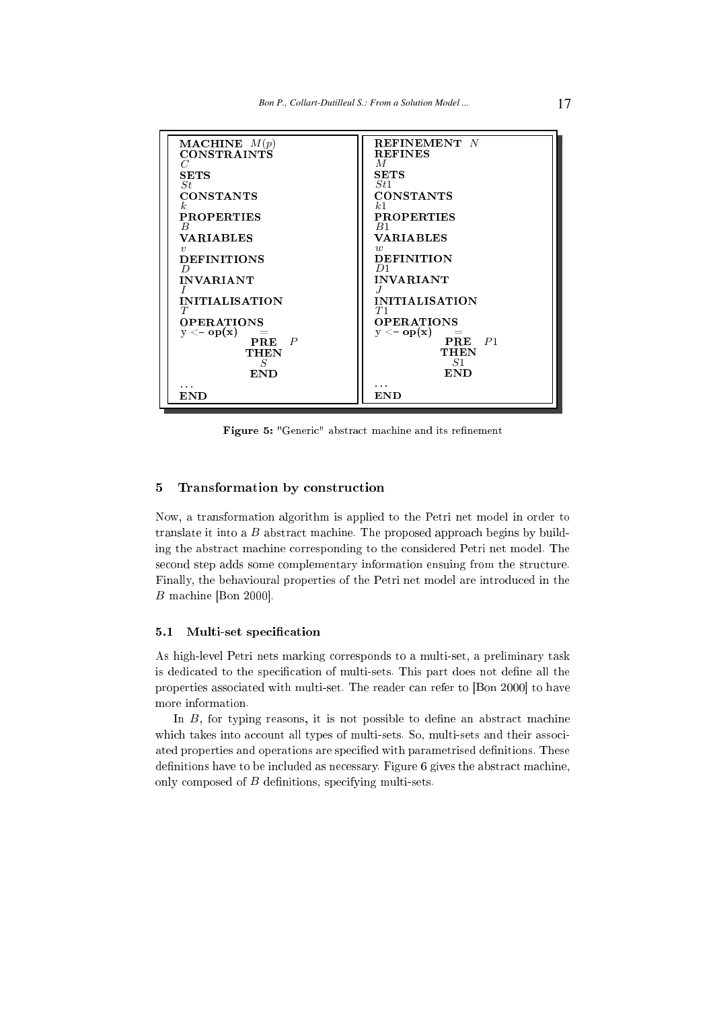

Figure 5: "Generic" abstract machine and its refinement

#### Transformation by construction  $\overline{5}$

Now, a transformation algorithm is applied to the Petri net model in order to translate it into a  $B$  abstract machine. The proposed approach begins by building the abstra
t ma
hine orresponding to the onsidered Petri net model. The second step adds some complementary information ensuing from the structure. Finally, the behavioural properties of the Petri net model are introdu
ed in the  $B$  machine [Bon 2000].

#### 5.1 Multi-set specification

As high-level Petri nets marking orresponds to a multi-set, a preliminary task is dedicated to the specification of multi-sets. This part does not define all the properties associated with multi-set. The reader can refer to [Bon 2000] to have more information.

In  $B$ , for typing reasons, it is not possible to define an abstract machine which takes into account all types of multi-sets. So, multi-sets and their associated properties and operations are specified with parametrised definitions. These definitions have to be included as necessary. Figure 6 gives the abstract machine, only composed of  $B$  definitions, specifying multi-sets.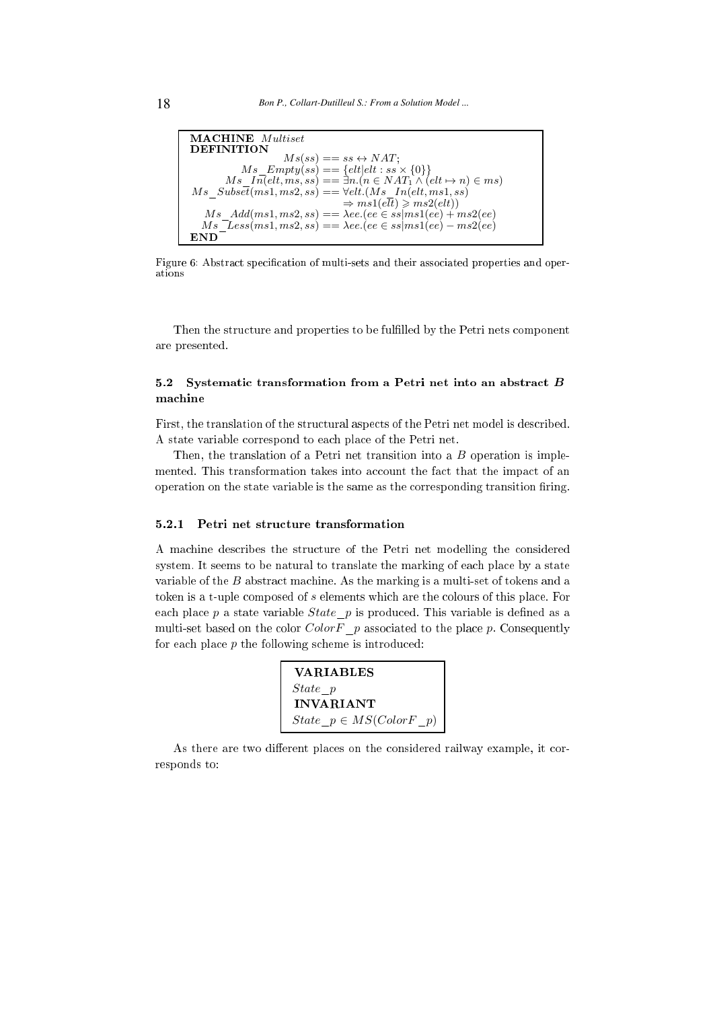

Figure 6: Abstract specification of multi-sets and their associated properties and operations

Then the structure and properties to be fulfilled by the Petri nets component are presented.

# 5.2 Systematic transformation from a Petri net into an abstract B machine

First, the translation of the structural aspects of the Petri net model is described. A state variable orrespond to ea
h pla
e of the Petri net.

Then, the translation of a Petri net transition into a  $B$  operation is implemented. This transformation takes into account the fact that the impact of an operation on the state variable is the same as the corresponding transition firing.

# 5.2.1 Petri net stru
ture transformation

A ma
hine des
ribes the stru
ture of the Petri net modelling the onsidered system. It seems to be natural to translate the marking of each place by a state variable of the  $B$  abstract machine. As the marking is a multi-set of tokens and a token is a t-uple composed of s elements which are the colours of this place. For each place  $p$  a state variable *State*  $p$  is produced. This variable is defined as a multi-set based on the color  $ColorF$  p associated to the place p. Consequently for each place  $p$  the following scheme is introduced:

| <b>VARIABLES</b>               |
|--------------------------------|
| State p                        |
| <b>INVARIANT</b>               |
| $State \ p \in MS(ColorF \ p)$ |

As there are two different places on the considered railway example, it corresponds to: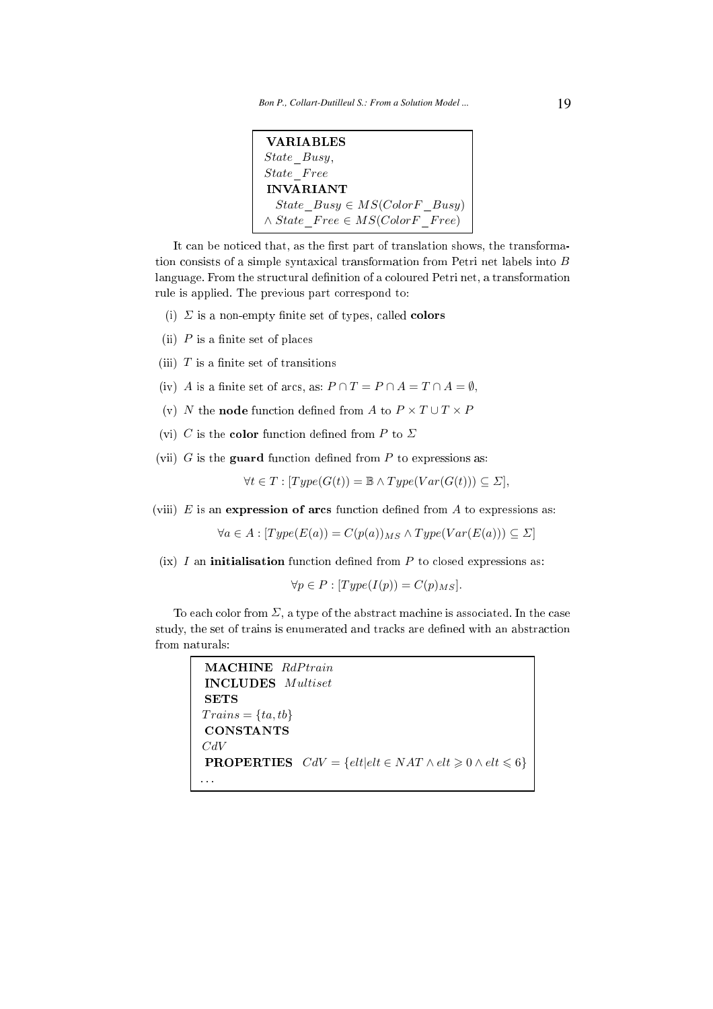```
VARIABLES
State_Busy,
State Free
INVARIANT
 State Busy \in MS(ColorF \; Busy)\land State\ \ Free \in MS(ColorF\ \ Free)
```
It can be noticed that, as the first part of translation shows, the transformation onsists of <sup>a</sup> simple syntaxi
al transformation from Petri net labels into B language. From the structural definition of a coloured Petri net, a transformation rule is applied. The previous part orrespond to:

- (i)  $\Sigma$  is a non-empty finite set of types, called **colors**
- $(ii)$  P is a finite set of places
- (iii)  $T$  is a finite set of transitions
- (iv) A is a finite set of arcs, as:  $P \cap T = P \cap A = T \cap A = \emptyset$ ,
- (v) N the **node** function defined from A to  $P \times T \cup T \times P$
- (vi) C is the **color** function defined from P to  $\Sigma$
- (vii)  $G$  is the **guard** function defined from  $P$  to expressions as:

 $\forall t \in T : [Type(G(t))] = \mathbb{B} \wedge Type(Var(G(t))) \subseteq \Sigma$ ,

(viii)  $E$  is an expression of arcs function defined from  $A$  to expressions as:

 $\forall a \in A : [Type(E(a)) = C(p(a))_{MS} \wedge Type(Var(E(a))) \subseteq \Sigma$ 

 $(ix)$  I an **initialisation** function defined from P to closed expressions as:

$$
\forall p \in P : [Type(I(p)) = C(p)_{MS}].
$$

To each color from  $\Sigma$ , a type of the abstract machine is associated. In the case study, the set of trains is enumerated and tracks are defined with an abstraction from naturals:

```
MACHINE RdPtrain
INCLUDES Multiset
SETS
Trains = \{ta, tb\}CONSTANTS
CdVPROPERTIES CdV = \{elt|elt \in NAT \wedge elt \geq 0 \wedge elt \leq 6\}. . .
```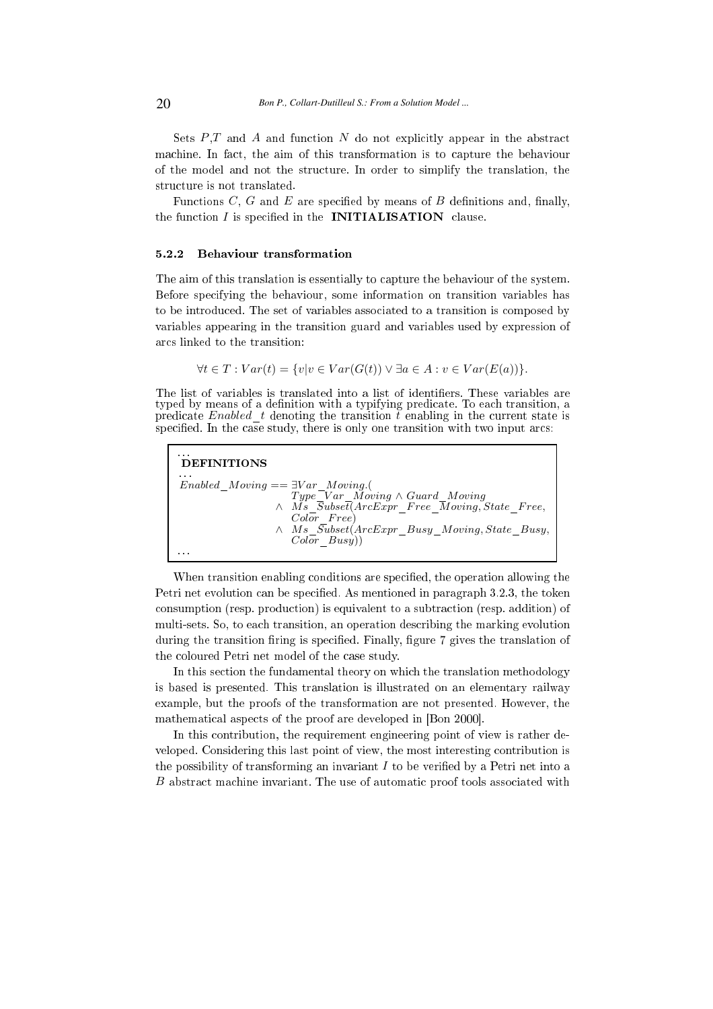Sets  $P,T$  and A and function N do not explicitly appear in the abstract machine. In fact, the aim of this transformation is to capture the behaviour of the model and not the stru
ture. In order to simplify the translation, the structure is not translated.

Functions  $C, G$  and  $E$  are specified by means of  $B$  definitions and, finally, the function  $I$  is specified in the **INITIALISATION** clause.

#### 5.2.2 Behaviour transformation

The aim of this translation is essentially to capture the behaviour of the system. Before spe
ifying the behaviour, some information on transition variables has to be introduced. The set of variables associated to a transition is composed by variables appearing in the transition guard and variables used by expression of ar
s linked to the transition:

$$
\forall t \in T : Var(t) = \{v | v \in Var(G(t)) \lor \exists a \in A : v \in Var(E(a))\}.
$$

The list of variables is translated into a list of identifiers. These variables are typed by means of a definition with a typifying predicate. To each transition, a predicate Enabled  $t$  denoting the transition  $t$  enabling in the current state is specified. In the case study, there is only one transition with two input arcs:

| $\cdots$<br>DEFINITIONS                                                                                                                                                                                                                                                |
|------------------------------------------------------------------------------------------------------------------------------------------------------------------------------------------------------------------------------------------------------------------------|
| .<br>$Enabeled\quad Moving == \exists Var\quad Moving.$<br>Type Var Moving $\wedge$ Guard Moving<br>$\wedge$ Ms $\overline{S}ubse\overline{t}(ArcExpr$ Free Moving, State Free,<br>$Color$ $Free)$<br>$\wedge$ Ms $\overline{Subset}(ArcExpr$ Busy Moving, State Busy, |
| $Color\; Busy)$<br>.                                                                                                                                                                                                                                                   |

When transition enabling conditions are specified, the operation allowing the Petri net evolution can be specified. As mentioned in paragraph 3.2.3, the token onsumption (resp. produ
tion) is equivalent to a subtra
tion (resp. addition) of multi-sets. So, to ea
h transition, an operation des
ribing the marking evolution during the transition firing is specified. Finally, figure 7 gives the translation of the oloured Petri net model of the ase study.

In this section the fundamental theory on which the translation methodology is based is presented. This translation is illustrated on an elementary railway example, but the proofs of the transformation are not presented. However, the mathematical aspects of the proof are developed in [Bon 2000].

In this contribution, the requirement engineering point of view is rather developed. Considering this last point of view, the most interesting ontribution is the possibility of transforming an invariant  $I$  to be verified by a Petri net into a B abstract machine invariant. The use of automatic proof tools associated with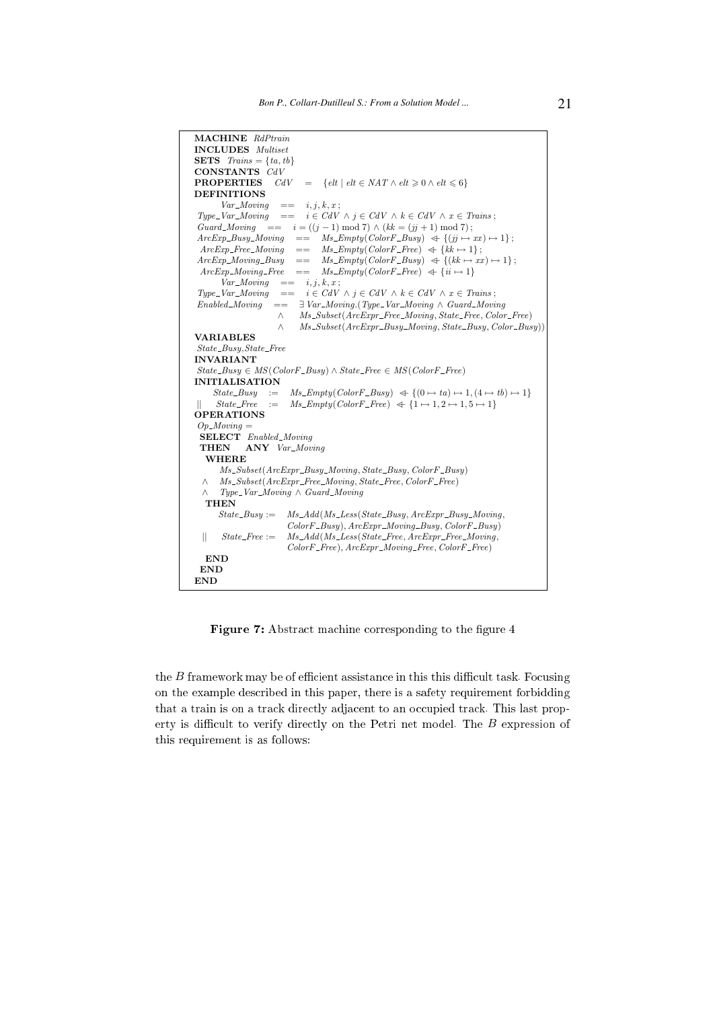Figure 7: Abstract machine corresponding to the figure 4

the  $B$  framework may be of efficient assistance in this this difficult task. Focusing on the example des
ribed in this paper, there is a safety requirement forbidding that a train is on a track directly adjacent to an occupied track. This last property is difficult to verify directly on the Petri net model. The  $B$  expression of this requirement is as follows: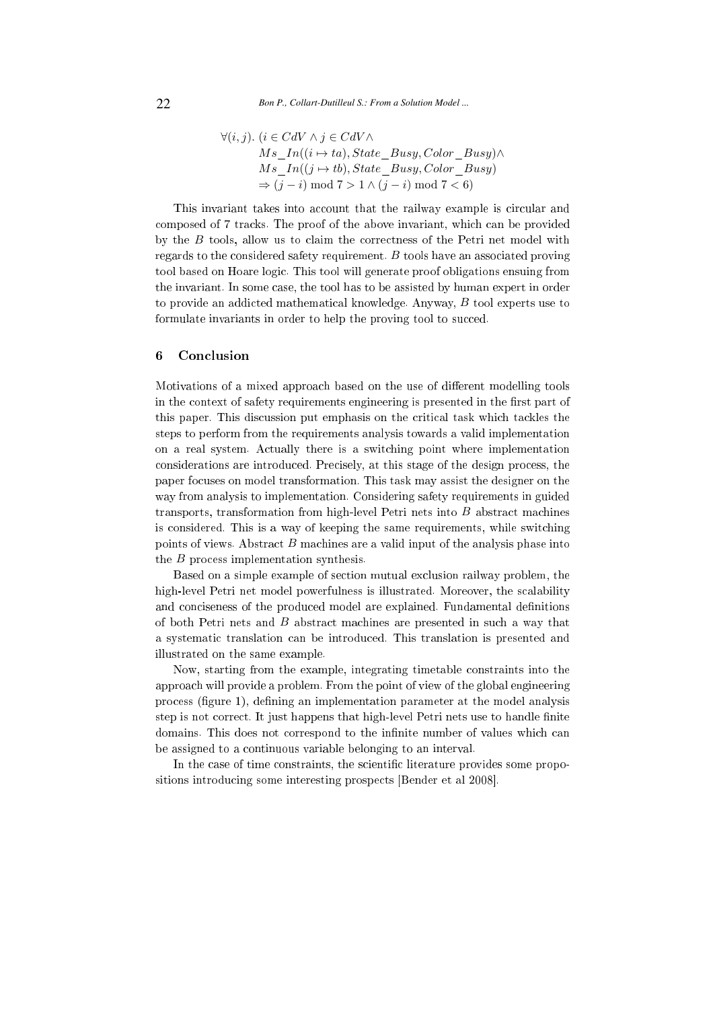$$
\forall (i, j). (i \in CdV \land j \in CdV \land Ms\_In((i \rightarrow ta), State\_Busy, Color\_Busy) \land Ms\_In((j \rightarrow tb), State\_Busy, Color\_Busy)
$$
  

$$
\Rightarrow (j - i) \mod 7 > 1 \land (j - i) \mod 7 < 6
$$

This invariant takes into account that the railway example is circular and omposed of 7 tra
ks. The proof of the above invariant, whi
h an be provided by the B tools, allow us to claim the correctness of the Petri net model with regards to the considered safety requirement. B tools have an associated proving tool based on Hoare logi
. This tool will generate proof obligations ensuing from the invariant. In some ase, the tool has to be assisted by human expert in order to provide an addicted mathematical knowledge. Anyway, B tool experts use to formulate invariants in order to help the proving tool to succed.

#### 6 **Conclusion**

Motivations of a mixed approach based on the use of different modelling tools in the context of safety requirements engineering is presented in the first part of this paper. This discussion put emphasis on the critical task which tackles the steps to perform from the requirements analysis towards a valid implementation on a real system. A
tually there is a swit
hing point where implementation onsiderations are introdu
ed. Pre
isely, at this stage of the design pro
ess, the paper fo
uses on model transformation. This task may assist the designer on the way from analysis to implementation. Considering safety requirements in guided transports, transformation from high-level Petri nets into  $B$  abstract machines is onsidered. This is a way of keeping the same requirements, while swit
hing points of views. Abstract  $B$  machines are a valid input of the analysis phase into the B pro
ess implementation synthesis.

Based on a simple example of section mutual exclusion railway problem, the high-level Petri net model powerfulness is illustrated. Moreover, the scalability and conciseness of the produced model are explained. Fundamental definitions of both Petri nets and B abstra
t ma
hines are presented in su
h <sup>a</sup> way that a systemati translation an be introdu
ed. This translation is presented and illustrated on the same example.

Now, starting from the example, integrating timetable onstraints into the approa
h will provide a problem. From the point of view of the global engineering process (figure 1), defining an implementation parameter at the model analysis step is not correct. It just happens that high-level Petri nets use to handle finite domains. This does not correspond to the infinite number of values which can be assigned to a ontinuous variable belonging to an interval.

In the case of time constraints, the scientific literature provides some propositions introducing some interesting prospects [Bender et al 2008].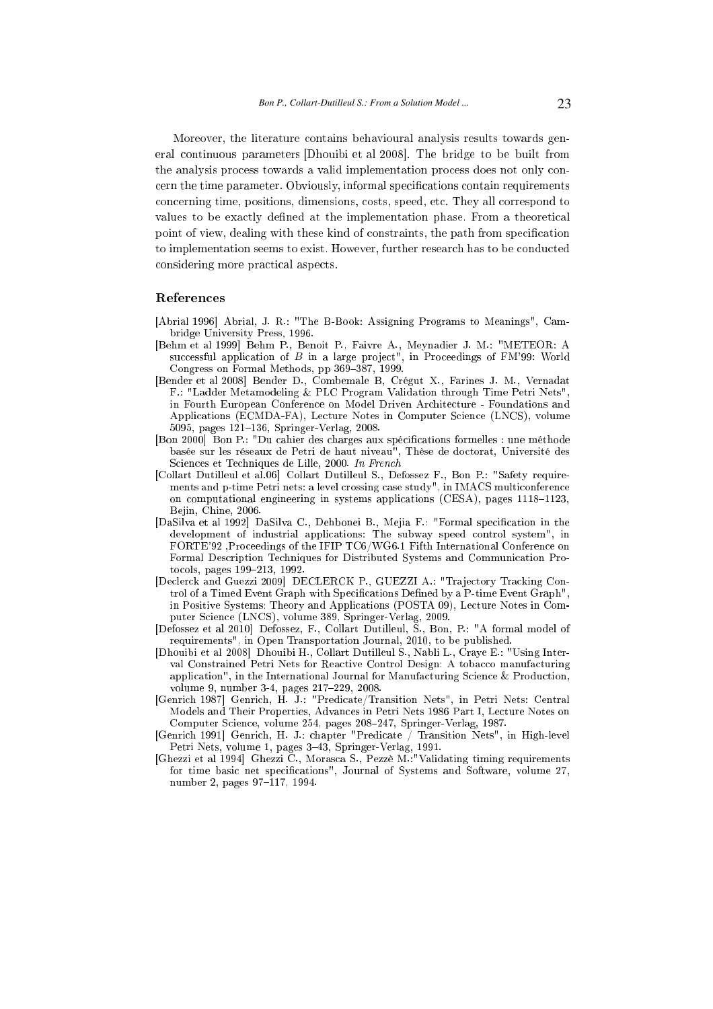Moreover, the literature ontains behavioural analysis results towards general continuous parameters [Dhouibi et al 2008]. The bridge to be built from the analysis process towards a valid implementation process does not only concern the time parameter. Obviously, informal specifications contain requirements on
erning time, positions, dimensions, osts, speed, et
. They all orrespond to values to be exactly defined at the implementation phase. From a theoretical point of view, dealing with these kind of constraints, the path from specification to implementation seems to exist. However, further research has to be conducted considering more practical aspects.

### Referen
es

- [Abrial 1996] Abrial, J. R.: "The B-Book: Assigning Programs to Meanings", Cambridge University Press, 1996.
- [Behm et al 1999] Behm P., Benoit P., Faivre A., Meynadier J. M.: "METEOR: A successful application of B in a large project", in Proceedings of FM'99: World Congress on Formal Methods, pp 369-387, 1999.
- [Bender et al 2008] Bender D., Combemale B. Crégut X., Farines J. M., Vernadat F.: "Ladder Metamodeling & PLC Program Validation through Time Petri Nets" in Fourth European Conferen
e on Model Driven Ar
hite
ture - Foundations and Applications (ECMDA-FA), Lecture Notes in Computer Science (LNCS), volume 5095, pages 121-136, Springer-Verlag, 2008.
- [Bon 2000] Bon P.: "Du cahier des charges aux spécifications formelles : une méthode basée sur les réseaux de Petri de haut niveau<sup>n</sup>, Thèse de doctorat, Université des Sciences et Techniques de Lille, 2000. In French
- [Collart Dutilleul et al.06] Collart Dutilleul S., Defossez F., Bon P.: "Safety requirements and p-time Petri nets: a level crossing case study", in IMACS multiconference on computational engineering in systems applications (CESA), pages 1118-1123, Bejin, Chine, 2006.
- [DaSilva et al 1992] DaSilva C., Dehbonei B., Mejia F.: "Formal specification in the development of industrial appli
ations: The subway speed ontrol system", in FORTE'92 Proceedings of the IFIP TC6/WG6.1 Fifth International Conference on Formal Des
ription Te
hniques for Distributed Systems and Communi
ation Protocols, pages 199-213, 1992.
- [Declerck and Guezzi 2009] DECLERCK P., GUEZZI A.: "Trajectory Tracking Control of a Timed Event Graph with Specifications Defined by a P-time Event Graph", in Positive Systems: Theory and Appli
ations (POSTA 09), Le
ture Notes in Computer Science (LNCS), volume 389, Springer-Verlag, 2009.
- [Defossez et al 2010] Defossez, F., Collart Dutilleul, S., Bon, P.: "A formal model of requirements", in Open Transportation Journal, 2010, to be published.
- [Dhouibi et al 2008] Dhouibi H., Collart Dutilleul S., Nabli L., Craye E.: "Using Interval Constrained Petri Nets for Reactive Control Design: A tobacco manufacturing application", in the International Journal for Manufacturing Science & Production, volume 9, number 3-4, pages 217-229, 2008.
- [Genrich 1987] Genrich, H. J.: "Predicate/Transition Nets", in Petri Nets: Central Models and Their Properties, Advan
es in Petri Nets 1986 Part I, Le
ture Notes on Computer Science, volume 254, pages 208-247, Springer-Verlag, 1987.
- [Genrich 1991] Genrich, H. J.: chapter "Predicate / Transition Nets", in High-level Petri Nets, volume 1, pages 343, Springer-Verlag, 1991.
- [Ghezzi et al 1994℄ Ghezzi C., Moras
a S., Pezzè M.:"Validating timing requirements for time basic net specifications", Journal of Systems and Software, volume 27, number 2, pages 97-117, 1994.